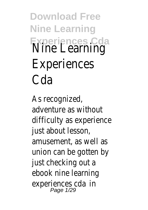**Download Free Nine Learning Experiences Cda** Nine Learning Experiences Cda

As recognized, adventure as without difficulty as experience just about lesson, amusement, as well as union can be gotten by just checking out a ebooknine learning experiences ci**d**a<br>Page 1/29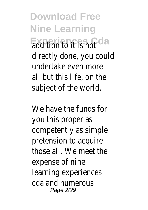**Download Free Nine Learning** Experiences Cda<sub>ot</sub> directly done, you could undertake even more all but this life, on the subject of the world.

We have the funds for you this proper as competently as simple pretension to acquire those all. We meet the expense of nine learning experiences cda and numerous Page 2/29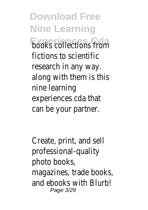**Download Free Nine Learning Experience**<br>From fictions to scientific research in any way. along with them is this nine learning experiences cda that can be your partner.

Create, print, and sell professional-quality photo books, magazines, trade books, and ebooks with Blurb! Page 3/29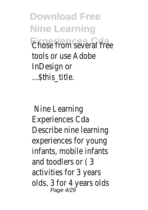**Download Free Nine Learning EXPERIENCES** CONTRA FREE tools or use Adobe InDesign or ...\$this\_title.

Nine Learning Experiences Cda Describe nine learning experiences for young infants, mobile infants and toodlers or ( 3 activities for 3 years olds, 3 for 4 years olds Page 4/29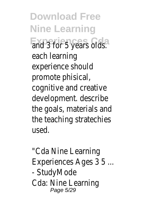**Download Free Nine Learning Experiences** Cars olds. each learning experience should promote phisical, cognitive and creative development. describe the goals, materials and the teaching stratechies used.

"Cda Nine Learning Experiences Ages 3 5 ... - StudyMode Cda: Nine Learning Page 5/29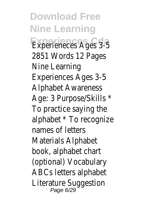**Download Free Nine Learning Experieneces Ages 3-5** 2851 Words 12 Pages Nine Learning Experiences Ages 3-5 Alphabet Awareness Age: 3 Purpose/Skills \* To practice saying the alphabet \* To recognize names of letters Materials Alphabet book, alphabet chart (optional) Vocabulary ABCs letters alphabet Literature Suggestion Page 6/29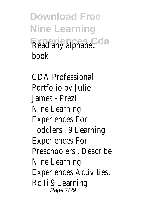**Download Free Nine Learning Experiences Cda** Read any alphabet book.

CDA Professional Portfolio by Julie James - Prezi Nine Learning Experiences For Toddlers . 9 Learning Experiences For Preschoolers . Describe Nine Learning Experiences Activities. Rc Ii 9 Learning Page 7/29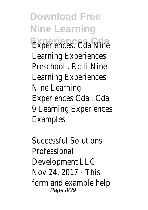**Download Free Nine Learning Experiences** Cda Nine Learning Experiences Preschool Rc Ii Nine Learning Experiences. Nine Learning Experiences Cda . Cda 9 Learning Experiences Examples

Successful Solutions Professional Development LLC Nov 24, 2017 - This form and example help Page 8/29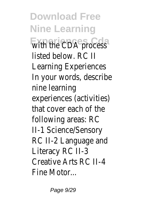**Download Free Nine Learning Experiences Cda** with the CDA process listed below. RC II Learning Experiences In your words, describe nine learning experiences (activities) that cover each of the following areas: RC II-1 Science/Sensory RC II-2 Language and Literacy RC II-3 Creative Arts RC II-4 Fine Motor...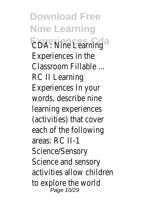**Download Free Nine Learning CDA: Nine Learning** Experiences in the Classroom Fillable ... RC II Learning Experiences In your words, describe nine learning experiences (activities) that cover each of the following areas: RC II-1 Science/Sensory Science and sensory activities allow children to explore the world Page 10/29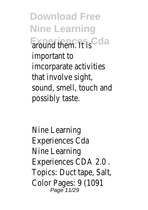**Download Free Nine Learning** Experiences Gda important to imcorparate activities that involve sight, sound, smell, touch and possibly taste.

Nine Learning Experiences Cda Nine Learning Experiences CDA 2.0 . Topics: Duct tape, Salt, Color Pages: 9 (1091)<br>Page 11/29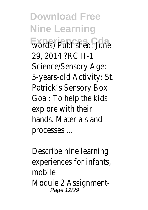**Download Free Nine Learning Words**) Published: June 29, 2014 ?RC II-1 Science/Sensory Age: 5-years-old Activity: St. Patrick's Sensory Box Goal: To help the kids explore with their hands. Materials and processes ...

Describe nine learning experiences for infants, mobile Module 2 Assignment-Page 12/29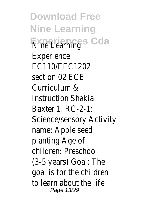**Download Free Nine Learning Experiences** Cda Experience EC110/EEC1202 section 02 ECE Curriculum & Instruction Shakia Baxter 1. RC-2-1: Science/sensory Activity name: Apple seed planting Age of children: Preschool (3-5 years) Goal: The goal is for the children to learn about the life Page 13/29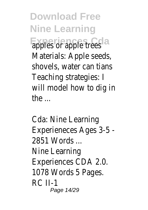**Download Free Nine Learning Exples** or apple trees Materials: Apple seeds, shovels, water can tians Teaching strategies: I will model how to dig in the ...

Cda: Nine Learning Experieneces Ages 3-5 - 2851 Words ... Nine Learning Experiences CDA 2.0. 1078 Words 5 Pages. RC II-1 Page 14/29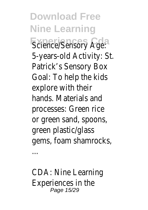**Download Free Nine Learning Science/Sensory Age:** 5-years-old Activity: St. Patrick's Sensory Box Goal: To help the kids explore with their hands. Materials and processes: Green rice or green sand, spoons, green plastic/glass gems, foam shamrocks,

CDA: Nine Learning Experiences in the Page 15/29

...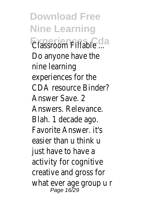**Download Free Nine Learning Experiences Cda** Classroom Fillable ... Do anyone have the nine learning experiences for the CDA resource Binder? Answer Save. 2 Answers. Relevance. Blah. 1 decade ago. Favorite Answer. it's easier than u think u just have to have a activity for cognitive creative and gross for what ever age group u r Page 16/29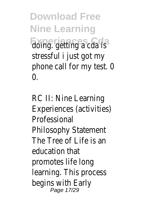**Download Free Nine Learning Experiences** Cola is stressful i just got my phone call for my test. 0  $\Omega$ 

RC II: Nine Learning Experiences (activities) **Professional** Philosophy Statement The Tree of Life is an education that promotes life long learning. This process begins with Early Page 17/29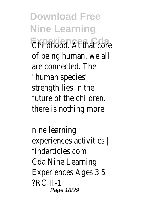**Download Free Nine Learning Expandences Friat core** of being human, we all are connected. The "human species" strength lies in the future of the children. there is nothing more

nine learning experiences activities | findarticles.com Cda Nine Learning Experiences Ages 3 5 ?RC II-1 Page 18/29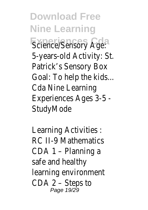**Download Free Nine Learning Science/Sensory Age:** 5-years-old Activity: St. Patrick's Sensory Box Goal: To help the kids... Cda Nine Learning Experiences Ages 3-5 - **StudvMode** 

Learning Activities : RC II-9 Mathematics CDA 1 – Planning a safe and healthy learning environment CDA 2 – Steps to Page 19/29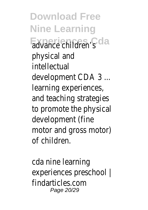**Download Free Nine Learning Experiences Cda** advance children's physical and intellectual development CDA 3 ... learning experiences, and teaching strategies to promote the physical development (fine motor and gross motor) of children.

cda nine learning experiences preschool | findarticles.com Page 20/29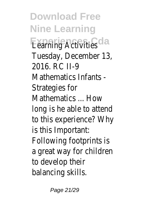**Download Free Nine Learning Examing Activities** Tuesday, December 13, 2016. RC II-9 Mathematics Infants - Strategies for Mathematics ... How long is he able to attend to this experience? Why is this Important: Following footprints is a great way for children to develop their balancing skills.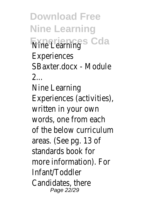**Download Free Nine Learning Experiences** Cda **Experiences** SBaxter.docx - Module  $\mathcal{P}$ Nine Learning Experiences (activities), written in your own words, one from each of the below curriculum areas. (See pg. 13 of standards book for more information). For Infant/Toddler Candidates, there Page 22/29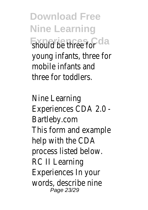**Download Free Nine Learning** Experiences Cda young infants, three for mobile infants and three for toddlers.

Nine Learning Experiences CDA 2.0 - Bartleby.com This form and example help with the CDA process listed below. RC II Learning Experiences In your words, describe nine Page 23/29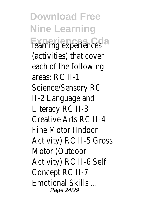**Download Free Nine Learning Tearning experiences** (activities) that cover each of the following areas: RC II-1 Science/Sensory RC II-2 Language and Literacy RC II-3 Creative Arts RC II-4 Fine Motor (Indoor Activity) RC II-5 Gross Motor (Outdoor Activity) RC II-6 Self Concept RC II-7 Emotional Skills ... Page 24/29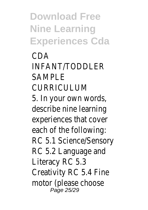**Download Free Nine Learning Experiences Cda**

CDA INFANT/TODDLER SAMPLE CURRICULUM 5. In your own words, describe nine learning experiences that cover each of the following: RC 5.1 Science/Sensory RC 5.2 Language and Literacy RC 5.3 Creativity RC 5.4 Fine motor (please choose Page 25/29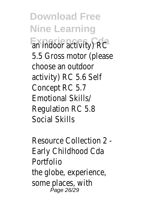**Download Free Nine Learning** Expiradoor activity) RC 5.5 Gross motor (please choose an outdoor activity) RC 5.6 Self Concept RC 5.7 Emotional Skills/ Regulation RC 5.8 Social Skills

Resource Collection 2 - Early Childhood Cda Portfolio the globe, experience, some places, with Page 26/29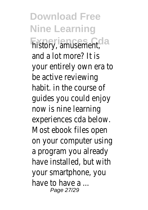**Download Free Nine Learning Experiences Cda** history, amusement, and a lot more? It is your entirely own era to be active reviewing habit. in the course of guides you could enjoy now is nine learning experiences cda below. Most ebook files open on your computer using a program you already have installed, but with your smartphone, you have to have a Page 27/29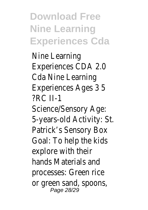**Download Free Nine Learning Experiences Cda**

Nine Learning Experiences CDA 2.0 Cda Nine Learning Experiences Ages 3 5 ?RC II-1 Science/Sensory Age: 5-years-old Activity: St. Patrick's Sensory Box Goal: To help the kids explore with their hands Materials and processes: Green rice or green sand, spoons, Page 28/29